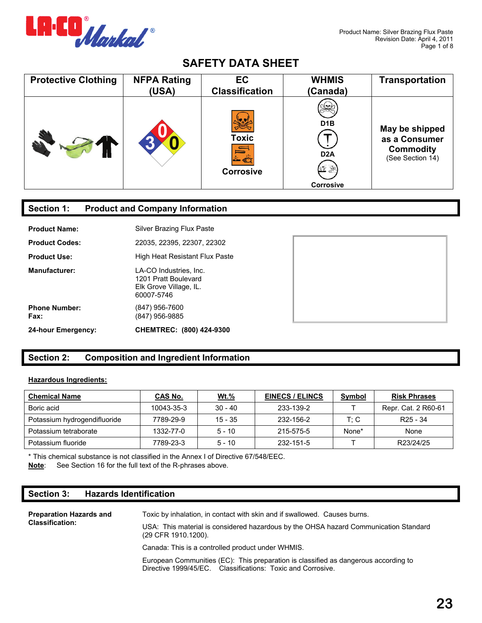

| <b>Protective Clothing</b> | <b>NFPA Rating</b> | <b>EC</b>                        | <b>WHMIS</b>                                                         | <b>Transportation</b>                                                   |
|----------------------------|--------------------|----------------------------------|----------------------------------------------------------------------|-------------------------------------------------------------------------|
|                            | (USA)              | <b>Classification</b>            | (Canada)                                                             |                                                                         |
|                            |                    | <b>Toxic</b><br><b>Corrosive</b> | りへん<br>D <sub>1</sub> B<br>D <sub>2</sub> A<br>V<br><b>Corrosive</b> | May be shipped<br>as a Consumer<br><b>Commodity</b><br>(See Section 14) |

## **Section 1: Product and Company Information**

| 24-hour Emergency:           | CHEMTREC: (800) 424-9300                                                               |
|------------------------------|----------------------------------------------------------------------------------------|
| <b>Phone Number:</b><br>Fax: | (847) 956-7600<br>(847) 956-9885                                                       |
| <b>Manufacturer:</b>         | LA-CO Industries. Inc.<br>1201 Pratt Boulevard<br>Elk Grove Village, IL.<br>60007-5746 |
| <b>Product Use:</b>          | High Heat Resistant Flux Paste                                                         |
| <b>Product Codes:</b>        | 22035, 22395, 22307, 22302                                                             |
| <b>Product Name:</b>         | Silver Brazing Flux Paste                                                              |



# **Section 2: Composition and Ingredient Information**

#### **Hazardous Ingredients:**

| <b>Chemical Name</b>         | CAS No.    | <u>Wt.%</u> | <b>EINECS / ELINCS</b> | <b>Symbol</b> | <b>Risk Phrases</b>  |
|------------------------------|------------|-------------|------------------------|---------------|----------------------|
| Boric acid                   | 10043-35-3 | $30 - 40$   | 233-139-2              |               | Repr. Cat. 2 R60-61  |
| Potassium hydrogendifluoride | 7789-29-9  | $15 - 35$   | 232-156-2              | T: C          | R <sub>25</sub> - 34 |
| Potassium tetraborate        | 1332-77-0  | $5 - 10$    | 215-575-5              | None*         | None                 |
| Potassium fluoride           | 7789-23-3  | $5 - 10$    | 232-151-5              |               | R23/24/25            |

\* This chemical substance is not classified in the Annex I of Directive 67/548/EEC. **Note**: See Section 16 for the full text of the R-phrases above.

## **Section 3: Hazards Identification**

| <b>Preparation Hazards and</b><br><b>Classification:</b> | Toxic by inhalation, in contact with skin and if swallowed. Causes burns.<br>USA: This material is considered hazardous by the OHSA hazard Communication Standard<br>(29 CFR 1910.1200). |  |  |
|----------------------------------------------------------|------------------------------------------------------------------------------------------------------------------------------------------------------------------------------------------|--|--|
|                                                          | Canada: This is a controlled product under WHMIS.                                                                                                                                        |  |  |
|                                                          | European Communities (EC): This preparation is classified as dangerous according to<br>Directive 1999/45/EC. Classifications: Toxic and Corrosive.                                       |  |  |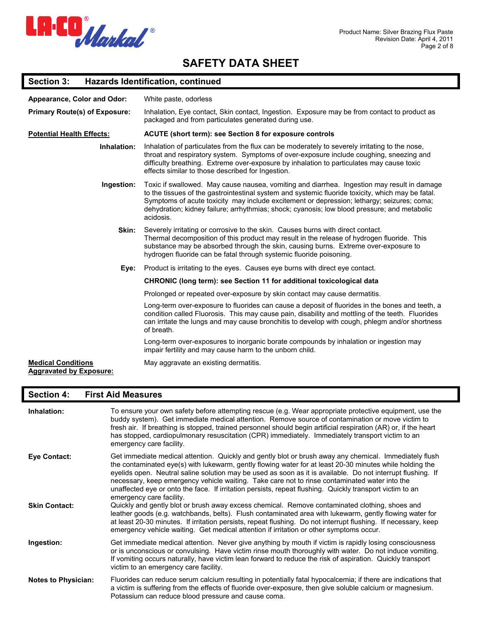

### **Section 3: Hazards Identification, continued**

| Appearance, Color and Odor:                                 | White paste, odorless                                                                                                                                                                                                                                                                                                                                                                                       |
|-------------------------------------------------------------|-------------------------------------------------------------------------------------------------------------------------------------------------------------------------------------------------------------------------------------------------------------------------------------------------------------------------------------------------------------------------------------------------------------|
| <b>Primary Route(s) of Exposure:</b>                        | Inhalation, Eye contact, Skin contact, Ingestion. Exposure may be from contact to product as<br>packaged and from particulates generated during use.                                                                                                                                                                                                                                                        |
| <b>Potential Health Effects:</b>                            | <b>ACUTE (short term): see Section 8 for exposure controls</b>                                                                                                                                                                                                                                                                                                                                              |
| Inhalation:                                                 | Inhalation of particulates from the flux can be moderately to severely irritating to the nose,<br>throat and respiratory system. Symptoms of over-exposure include coughing, sneezing and<br>difficulty breathing. Extreme over-exposure by inhalation to particulates may cause toxic<br>effects similar to those described for Ingestion.                                                                 |
| Ingestion:                                                  | Toxic if swallowed. May cause nausea, vomiting and diarrhea. Ingestion may result in damage<br>to the tissues of the gastrointestinal system and systemic fluoride toxicity, which may be fatal.<br>Symptoms of acute toxicity may include excitement or depression; lethargy; seizures; coma;<br>dehydration; kidney failure; arrhythmias; shock; cyanosis; low blood pressure; and metabolic<br>acidosis. |
| Skin:                                                       | Severely irritating or corrosive to the skin. Causes burns with direct contact.<br>Thermal decomposition of this product may result in the release of hydrogen fluoride. This<br>substance may be absorbed through the skin, causing burns. Extreme over-exposure to<br>hydrogen fluoride can be fatal through systemic fluoride poisoning.                                                                 |
| Eye:                                                        | Product is irritating to the eyes. Causes eye burns with direct eye contact.                                                                                                                                                                                                                                                                                                                                |
|                                                             | <b>CHRONIC (long term): see Section 11 for additional toxicological data</b>                                                                                                                                                                                                                                                                                                                                |
|                                                             | Prolonged or repeated over-exposure by skin contact may cause dermatitis.                                                                                                                                                                                                                                                                                                                                   |
|                                                             | Long-term over-exposure to fluorides can cause a deposit of fluorides in the bones and teeth, a<br>condition called Fluorosis. This may cause pain, disability and mottling of the teeth. Fluorides<br>can irritate the lungs and may cause bronchitis to develop with cough, phlegm and/or shortness<br>of breath.                                                                                         |
|                                                             | Long-term over-exposures to inorganic borate compounds by inhalation or ingestion may<br>impair fertility and may cause harm to the unborn child.                                                                                                                                                                                                                                                           |
| <b>Medical Conditions</b><br><b>Aggravated by Exposure:</b> | May aggravate an existing dermatitis.                                                                                                                                                                                                                                                                                                                                                                       |

### **Section 4: First Aid Measures**

| Inhalation:                | To ensure your own safety before attempting rescue (e.g. Wear appropriate protective equipment, use the<br>buddy system). Get immediate medical attention. Remove source of contamination or move victim to<br>fresh air. If breathing is stopped, trained personnel should begin artificial respiration (AR) or, if the heart<br>has stopped, cardiopulmonary resuscitation (CPR) immediately. Immediately transport victim to an<br>emergency care facility.                                                                                                             |
|----------------------------|----------------------------------------------------------------------------------------------------------------------------------------------------------------------------------------------------------------------------------------------------------------------------------------------------------------------------------------------------------------------------------------------------------------------------------------------------------------------------------------------------------------------------------------------------------------------------|
| Eye Contact:               | Get immediate medical attention. Quickly and gently blot or brush away any chemical. Immediately flush<br>the contaminated eye(s) with lukewarm, gently flowing water for at least 20-30 minutes while holding the<br>eyelids open. Neutral saline solution may be used as soon as it is available. Do not interrupt flushing. If<br>necessary, keep emergency vehicle waiting. Take care not to rinse contaminated water into the<br>unaffected eye or onto the face. If irritation persists, repeat flushing. Quickly transport victim to an<br>emergency care facility. |
| <b>Skin Contact:</b>       | Quickly and gently blot or brush away excess chemical. Remove contaminated clothing, shoes and<br>leather goods (e.g. watchbands, belts). Flush contaminated area with lukewarm, gently flowing water for<br>at least 20-30 minutes. If irritation persists, repeat flushing. Do not interrupt flushing. If necessary, keep<br>emergency vehicle waiting. Get medical attention if irritation or other symptoms occur.                                                                                                                                                     |
| Ingestion:                 | Get immediate medical attention. Never give anything by mouth if victim is rapidly losing consciousness<br>or is unconscious or convulsing. Have victim rinse mouth thoroughly with water. Do not induce vomiting.<br>If vomiting occurs naturally, have victim lean forward to reduce the risk of aspiration. Quickly transport<br>victim to an emergency care facility.                                                                                                                                                                                                  |
| <b>Notes to Physician:</b> | Fluorides can reduce serum calcium resulting in potentially fatal hypocalcemia; if there are indications that<br>a victim is suffering from the effects of fluoride over-exposure, then give soluble calcium or magnesium.<br>Potassium can reduce blood pressure and cause coma.                                                                                                                                                                                                                                                                                          |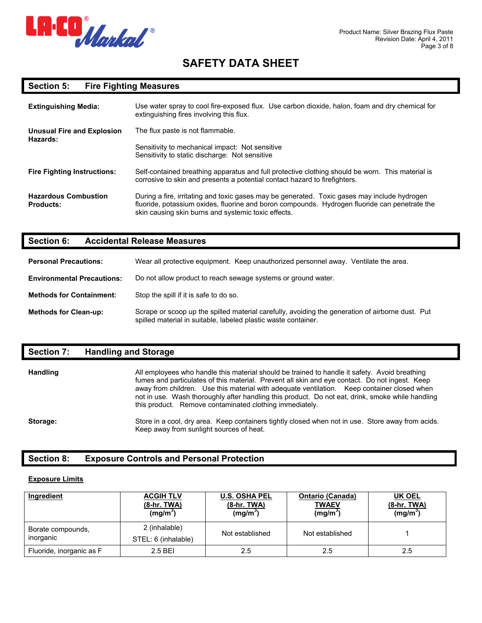

### **Section 5: Fire Fighting Measures**

| <b>Extinguishing Media:</b>                     | Use water spray to cool fire-exposed flux. Use carbon dioxide, halon, foam and dry chemical for<br>extinguishing fires involving this flux.                                                                                                          |  |
|-------------------------------------------------|------------------------------------------------------------------------------------------------------------------------------------------------------------------------------------------------------------------------------------------------------|--|
| Unusual Fire and Explosion                      | The flux paste is not flammable.                                                                                                                                                                                                                     |  |
| Hazards:                                        | Sensitivity to mechanical impact: Not sensitive<br>Sensitivity to static discharge: Not sensitive                                                                                                                                                    |  |
| <b>Fire Fighting Instructions:</b>              | Self-contained breathing apparatus and full protective clothing should be worn. This material is<br>corrosive to skin and presents a potential contact hazard to firefighters.                                                                       |  |
| <b>Hazardous Combustion</b><br><b>Products:</b> | During a fire, irritating and toxic gases may be generated. Toxic gases may include hydrogen<br>fluoride, potassium oxides, fluorine and boron compounds. Hydrogen fluoride can penetrate the<br>skin causing skin burns and systemic toxic effects. |  |

#### **Section 6: Accidental Release Measures**

**Personal Precautions:** Wear all protective equipment. Keep unauthorized personnel away. Ventilate the area.

- **Environmental Precautions:** Do not allow product to reach sewage systems or ground water.
- **Methods for Containment:** Stop the spill if it is safe to do so.

**Methods for Clean-up:** Scrape or scoop up the spilled material carefully, avoiding the generation of airborne dust. Put spilled material in suitable, labeled plastic waste container.

### **Section 7: Handling and Storage**

| <b>Handling</b> | All employees who handle this material should be trained to handle it safety. Avoid breathing<br>fumes and particulates of this material. Prevent all skin and eye contact. Do not ingest. Keep<br>away from children. Use this material with adequate ventilation. Keep container closed when<br>not in use. Wash thoroughly after handling this product. Do not eat, drink, smoke while handling<br>this product. Remove contaminated clothing immediately. |
|-----------------|---------------------------------------------------------------------------------------------------------------------------------------------------------------------------------------------------------------------------------------------------------------------------------------------------------------------------------------------------------------------------------------------------------------------------------------------------------------|
| Storage:        | Store in a cool, dry area. Keep containers tightly closed when not in use. Store away from acids.<br>Keep away from sunlight sources of heat.                                                                                                                                                                                                                                                                                                                 |

### **Section 8: Exposure Controls and Personal Protection**

#### **Exposure Limits**

| Ingredient                     | <b>ACGIH TLV</b><br>$(8-hr. TWA)$<br>$(mg/m^3)$ | <b>U.S. OSHA PEL</b><br>$(8-hr. TWA)$<br>$(mg/m^3)$ | Ontario (Canada)<br>TWAEV<br>(mg/m <sup>3</sup> ) | <b>UK OEL</b><br>$(8-hr. TWA)$<br>(mg/m <sup>3</sup> ) |
|--------------------------------|-------------------------------------------------|-----------------------------------------------------|---------------------------------------------------|--------------------------------------------------------|
| Borate compounds,<br>inorganic | 2 (inhalable)<br>STEL: 6 (inhalable)            | Not established                                     | Not established                                   |                                                        |
| Fluoride, inorganic as F       | 2.5 BEI                                         | 2.5                                                 | 2.5                                               | 2.5                                                    |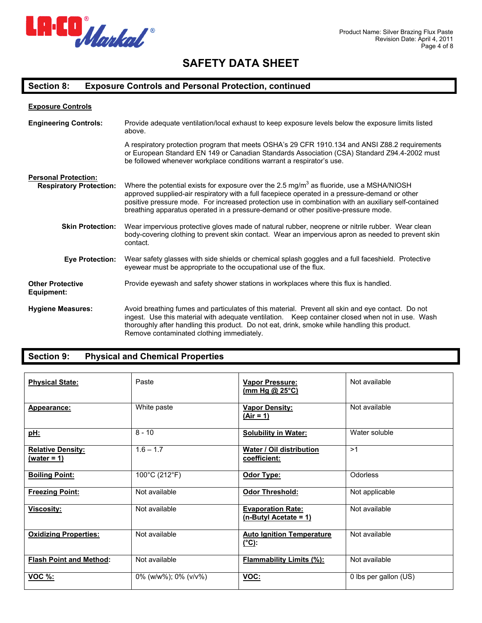

### **Section 8: Exposure Controls and Personal Protection, continued**

| <b>Exposure Controls</b>              |                                                                                                                                                                                                                                                                                                                                                                                                      |
|---------------------------------------|------------------------------------------------------------------------------------------------------------------------------------------------------------------------------------------------------------------------------------------------------------------------------------------------------------------------------------------------------------------------------------------------------|
| <b>Engineering Controls:</b>          | Provide adequate ventilation/local exhaust to keep exposure levels below the exposure limits listed<br>above.                                                                                                                                                                                                                                                                                        |
|                                       | A respiratory protection program that meets OSHA's 29 CFR 1910.134 and ANSI Z88.2 requirements<br>or European Standard EN 149 or Canadian Standards Association (CSA) Standard Z94.4-2002 must<br>be followed whenever workplace conditions warrant a respirator's use.                                                                                                                              |
| <b>Personal Protection:</b>           |                                                                                                                                                                                                                                                                                                                                                                                                      |
| <b>Respiratory Protection:</b>        | Where the potential exists for exposure over the 2.5 mg/m <sup>3</sup> as fluoride, use a MSHA/NIOSH<br>approved supplied-air respiratory with a full facepiece operated in a pressure-demand or other<br>positive pressure mode. For increased protection use in combination with an auxiliary self-contained<br>breathing apparatus operated in a pressure-demand or other positive-pressure mode. |
| <b>Skin Protection:</b>               | Wear impervious protective gloves made of natural rubber, neoprene or nitrile rubber. Wear clean<br>body-covering clothing to prevent skin contact. Wear an impervious apron as needed to prevent skin<br>contact.                                                                                                                                                                                   |
| <b>Eye Protection:</b>                | Wear safety glasses with side shields or chemical splash goggles and a full faceshield. Protective<br>eyewear must be appropriate to the occupational use of the flux.                                                                                                                                                                                                                               |
| <b>Other Protective</b><br>Equipment: | Provide eyewash and safety shower stations in workplaces where this flux is handled.                                                                                                                                                                                                                                                                                                                 |
| <b>Hygiene Measures:</b>              | Avoid breathing fumes and particulates of this material. Prevent all skin and eye contact. Do not<br>ingest. Use this material with adequate ventilation. Keep container closed when not in use. Wash<br>thoroughly after handling this product. Do not eat, drink, smoke while handling this product.<br>Remove contaminated clothing immediately.                                                  |

## **Section 9: Physical and Chemical Properties**

| <b>Physical State:</b>                    | Paste                      | <b>Vapor Pressure:</b><br>(mm Hg @ 25°C)             | Not available         |
|-------------------------------------------|----------------------------|------------------------------------------------------|-----------------------|
| Appearance:                               | White paste                | <b>Vapor Density:</b><br>$(Air = 1)$                 | Not available         |
| <u>pH:</u>                                | $8 - 10$                   | <b>Solubility in Water:</b>                          | Water soluble         |
| <b>Relative Density:</b><br>$(water = 1)$ | $1.6 - 1.7$                | <b>Water / Oil distribution</b><br>coefficient:      | >1                    |
| <b>Boiling Point:</b>                     | 100°C (212°F)              | Odor Type:                                           | <b>Odorless</b>       |
| <b>Freezing Point:</b>                    | Not available              | Odor Threshold:                                      | Not applicable        |
| Viscosity:                                | Not available              | <b>Evaporation Rate:</b><br>$(n-ButyI Accitate = 1)$ | Not available         |
| <b>Oxidizing Properties:</b>              | Not available              | <b>Auto Ignition Temperature</b><br>$(^{\circ}C)$ :  | Not available         |
| <b>Flash Point and Method:</b>            | Not available              | <b>Flammability Limits (%):</b>                      | Not available         |
| <b>VOC %:</b>                             | $0\%$ (w/w%); $0\%$ (v/v%) | VOC:                                                 | 0 lbs per gallon (US) |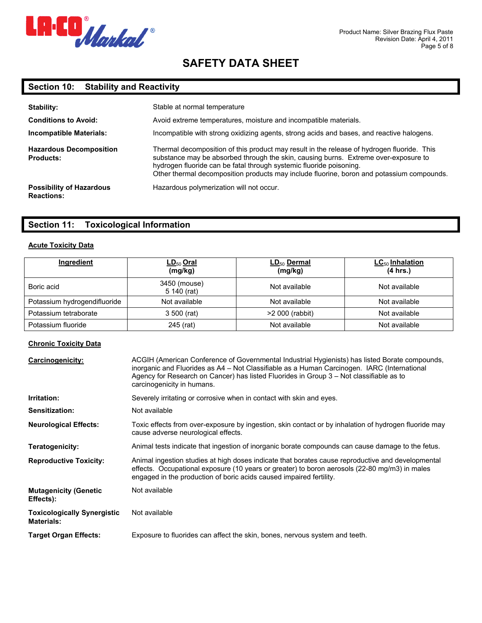

## **Section 10: Stability and Reactivity**

| Stability:<br><b>Conditions to Avoid:</b><br>Incompatible Materials: | Stable at normal temperature<br>Avoid extreme temperatures, moisture and incompatible materials.<br>Incompatible with strong oxidizing agents, strong acids and bases, and reactive halogens.                                                                                                                                                         |
|----------------------------------------------------------------------|-------------------------------------------------------------------------------------------------------------------------------------------------------------------------------------------------------------------------------------------------------------------------------------------------------------------------------------------------------|
| <b>Hazardous Decomposition</b><br><b>Products:</b>                   | Thermal decomposition of this product may result in the release of hydrogen fluoride. This<br>substance may be absorbed through the skin, causing burns. Extreme over-exposure to<br>hydrogen fluoride can be fatal through systemic fluoride poisoning.<br>Other thermal decomposition products may include fluorine, boron and potassium compounds. |
| <b>Possibility of Hazardous</b><br><b>Reactions:</b>                 | Hazardous polymerization will not occur.                                                                                                                                                                                                                                                                                                              |

### **Section 11: Toxicological Information**

#### **Acute Toxicity Data**

| Ingredient                   | <u>LD<sub>50</sub> Oral</u><br>(mg/kg) | LD <sub>50</sub> Dermal<br>(mg/kg) | $LC_{50}$ Inhalation<br>(4 hrs.) |
|------------------------------|----------------------------------------|------------------------------------|----------------------------------|
| Boric acid                   | 3450 (mouse)<br>5 140 (rat)            | Not available                      | Not available                    |
| Potassium hydrogendifluoride | Not available                          | Not available                      | Not available                    |
| Potassium tetraborate        | 3 500 (rat)                            | >2 000 (rabbit)                    | Not available                    |
| Potassium fluoride           | 245 (rat)                              | Not available                      | Not available                    |

#### **Chronic Toxicity Data**

| <b>Carcinogenicity:</b>                                 | ACGIH (American Conference of Governmental Industrial Hygienists) has listed Borate compounds,<br>inorganic and Fluorides as A4 - Not Classifiable as a Human Carcinogen. IARC (International<br>Agency for Research on Cancer) has listed Fluorides in Group 3 - Not classifiable as to<br>carcinogenicity in humans. |
|---------------------------------------------------------|------------------------------------------------------------------------------------------------------------------------------------------------------------------------------------------------------------------------------------------------------------------------------------------------------------------------|
| Irritation:                                             | Severely irritating or corrosive when in contact with skin and eyes.                                                                                                                                                                                                                                                   |
| Sensitization:                                          | Not available                                                                                                                                                                                                                                                                                                          |
| <b>Neurological Effects:</b>                            | Toxic effects from over-exposure by ingestion, skin contact or by inhalation of hydrogen fluoride may<br>cause adverse neurological effects.                                                                                                                                                                           |
| Teratogenicity:                                         | Animal tests indicate that ingestion of inorganic borate compounds can cause damage to the fetus.                                                                                                                                                                                                                      |
| <b>Reproductive Toxicity:</b>                           | Animal ingestion studies at high doses indicate that borates cause reproductive and developmental<br>effects. Occupational exposure (10 years or greater) to boron aerosols (22-80 mg/m3) in males<br>engaged in the production of boric acids caused impaired fertility.                                              |
| <b>Mutagenicity (Genetic</b><br>Effects):               | Not available                                                                                                                                                                                                                                                                                                          |
| <b>Toxicologically Synergistic</b><br><b>Materials:</b> | Not available                                                                                                                                                                                                                                                                                                          |
| <b>Target Organ Effects:</b>                            | Exposure to fluorides can affect the skin, bones, nervous system and teeth.                                                                                                                                                                                                                                            |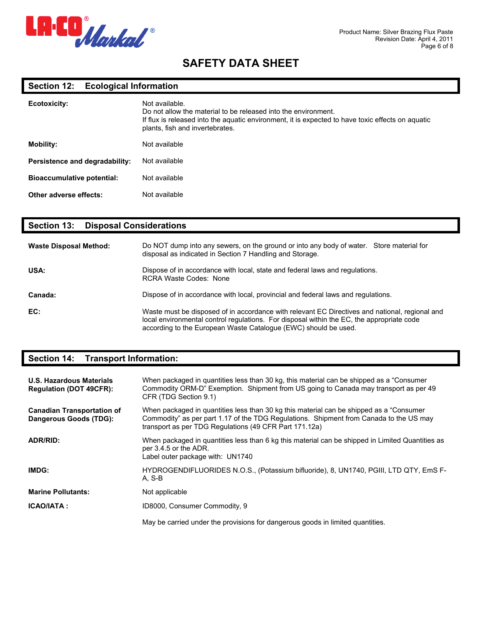

### **Section 12: Ecological Information**

| Ecotoxicity:                      | Not available.<br>Do not allow the material to be released into the environment.<br>If flux is released into the aquatic environment, it is expected to have toxic effects on aquatic<br>plants, fish and invertebrates. |
|-----------------------------------|--------------------------------------------------------------------------------------------------------------------------------------------------------------------------------------------------------------------------|
| <b>Mobility:</b>                  | Not available                                                                                                                                                                                                            |
| Persistence and degradability:    | Not available                                                                                                                                                                                                            |
| <b>Bioaccumulative potential:</b> | Not available                                                                                                                                                                                                            |
| Other adverse effects:            | Not available                                                                                                                                                                                                            |

### **Section 13: Disposal Considerations**

| <b>Waste Disposal Method:</b> | Do NOT dump into any sewers, on the ground or into any body of water. Store material for<br>disposal as indicated in Section 7 Handling and Storage.                                                                                                           |
|-------------------------------|----------------------------------------------------------------------------------------------------------------------------------------------------------------------------------------------------------------------------------------------------------------|
| USA:                          | Dispose of in accordance with local, state and federal laws and regulations.<br>RCRA Waste Codes: None                                                                                                                                                         |
| Canada:                       | Dispose of in accordance with local, provincial and federal laws and requiations.                                                                                                                                                                              |
| EC:                           | Waste must be disposed of in accordance with relevant EC Directives and national, regional and<br>local environmental control regulations. For disposal within the EC, the appropriate code<br>according to the European Waste Catalogue (EWC) should be used. |

### **Section 14: Transport Information:**

| U.S. Hazardous Materials<br><b>Requlation (DOT 49CFR):</b>  | When packaged in quantities less than 30 kg, this material can be shipped as a "Consumer"<br>Commodity ORM-D" Exemption. Shipment from US going to Canada may transport as per 49<br>CFR (TDG Section 9.1)                                   |
|-------------------------------------------------------------|----------------------------------------------------------------------------------------------------------------------------------------------------------------------------------------------------------------------------------------------|
| <b>Canadian Transportation of</b><br>Dangerous Goods (TDG): | When packaged in quantities less than 30 kg this material can be shipped as a "Consumer"<br>Commodity" as per part 1.17 of the TDG Regulations. Shipment from Canada to the US may<br>transport as per TDG Regulations (49 CFR Part 171.12a) |
| <b>ADR/RID:</b>                                             | When packaged in quantities less than 6 kg this material can be shipped in Limited Quantities as<br>per 3.4.5 or the ADR.<br>Label outer package with: UN1740                                                                                |
| IMDG:                                                       | HYDROGENDIFLUORIDES N.O.S., (Potassium bifluoride), 8, UN1740, PGIII, LTD QTY, EmS F-<br>A. S-B                                                                                                                                              |
| <b>Marine Pollutants:</b>                                   | Not applicable                                                                                                                                                                                                                               |
| <b>ICAO/IATA:</b>                                           | ID8000, Consumer Commodity, 9                                                                                                                                                                                                                |
|                                                             | May be carried under the provisions for dangerous goods in limited quantities.                                                                                                                                                               |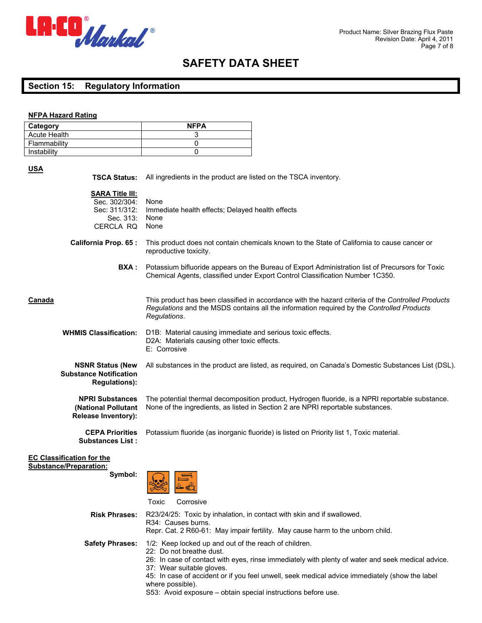

#### **Section 15: Regulatory Information**

#### **NFPA Hazard Rating**

| Category            | <b>NFPA</b> |
|---------------------|-------------|
| <b>Acute Health</b> |             |
| Flammability        |             |
| Instability         |             |

#### **USA**

| <b>TSCA Status:</b>                                                                | All ingredients in the product are listed on the TSCA inventory.                                                                                                                                                |
|------------------------------------------------------------------------------------|-----------------------------------------------------------------------------------------------------------------------------------------------------------------------------------------------------------------|
| <b>SARA Title III:</b><br>Sec. 302/304:<br>Sec: 311/312:<br>Sec. 313:<br>CERCLA RQ | None<br>Immediate health effects; Delayed health effects<br>None<br>None                                                                                                                                        |
| <b>California Prop. 65:</b>                                                        | This product does not contain chemicals known to the State of California to cause cancer or<br>reproductive toxicity.                                                                                           |
| BXA :                                                                              | Potassium bifluoride appears on the Bureau of Export Administration list of Precursors for Toxic<br>Chemical Agents, classified under Export Control Classification Number 1C350.                               |
| Canada                                                                             | This product has been classified in accordance with the hazard criteria of the Controlled Products<br>Regulations and the MSDS contains all the information required by the Controlled Products<br>Requlations. |
| <b>WHMIS Classification:</b>                                                       | D1B: Material causing immediate and serious toxic effects.<br>D2A: Materials causing other toxic effects.<br>E: Corrosive                                                                                       |
| <b>NSNR Status (New</b><br><b>Substance Notification</b><br><b>Regulations):</b>   | All substances in the product are listed, as required, on Canada's Domestic Substances List (DSL).                                                                                                              |
| <b>NPRI Substances</b><br>(National Pollutant<br><b>Release Inventory):</b>        | The potential thermal decomposition product, Hydrogen fluoride, is a NPRI reportable substance.<br>None of the ingredients, as listed in Section 2 are NPRI reportable substances.                              |
| <b>CEPA Priorities</b><br><b>Substances List:</b>                                  | Potassium fluoride (as inorganic fluoride) is listed on Priority list 1, Toxic material.                                                                                                                        |
| <b>EC Classification for the</b><br><b>Substance/Preparation:</b><br>Symbol:       | Toxic<br>Corrosive                                                                                                                                                                                              |
| <b>Risk Phrases:</b>                                                               | R23/24/25: Toxic by inhalation, in contact with skin and if swallowed.<br>R34: Causes burns.<br>Repr. Cat. 2 R60-61: May impair fertility. May cause harm to the unborn child.                                  |
| <b>Safety Phrases:</b>                                                             | 1/2: Keep locked up and out of the reach of children.<br>22: Do not breathe dust.<br>26: In case of contact with eyes, rinse immediately with plenty of water and seek medical advice.                          |

S53: Avoid exposure – obtain special instructions before use.

45: In case of accident or if you feel unwell, seek medical advice immediately (show the label

37: Wear suitable gloves.

where possible).